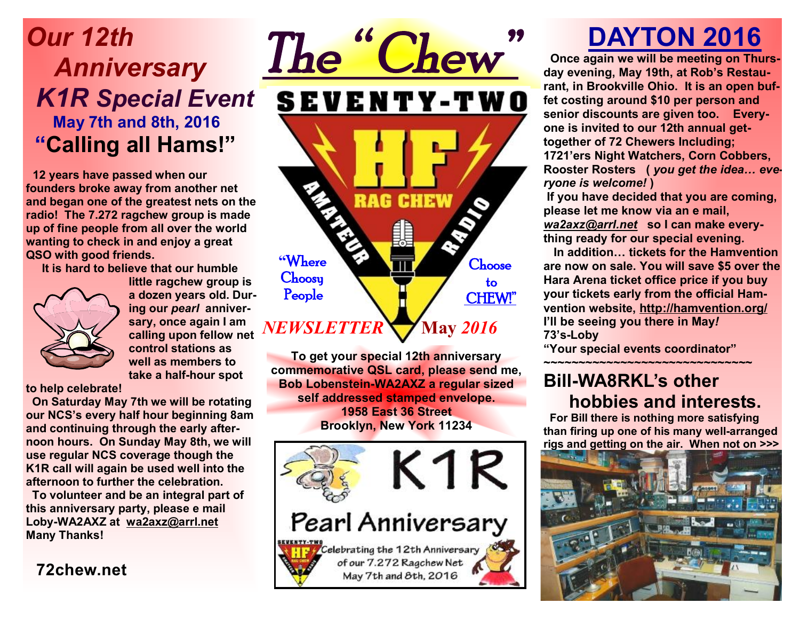## *Our 12th Anniversary K1R Special Event*  **May 7th and 8th, 2016 "Calling all Hams!"**

 **12 years have passed when our founders broke away from another net and began one of the greatest nets on the radio! The 7.272 ragchew group is made up of fine people from all over the world wanting to check in and enjoy a great QSO with good friends.** 

 **It is hard to believe that our humble** 



**little ragchew group is a dozen years old. During our** *pearl* **anniversary, once again I am calling upon fellow net control stations as well as members to take a half-hour spot** 

**to help celebrate!** 

 **On Saturday May 7th we will be rotating our NCS's every half hour beginning 8am and continuing through the early afternoon hours. On Sunday May 8th, we will use regular NCS coverage though the K1R call will again be used well into the afternoon to further the celebration.** 

 **To volunteer and be an integral part of this anniversary party, please e mail Loby-WA2AXZ at wa2axz@arrl.net Many Thanks!**

**72chew.net**



**To get your special 12th anniversary commemorative QSL card, please send me, Bob Lobenstein-WA2AXZ a regular sized self addressed stamped envelope. 1958 East 36 Street Brooklyn, New York 11234** 



# **DAYTON 2016**

 **Once again we will be meeting on Thursday evening, May 19th, at Rob's Restaurant, in Brookville Ohio. It is an open buffet costing around \$10 per person and senior discounts are given too. Everyone is invited to our 12th annual gettogether of 72 Chewers Including; 1721'ers Night Watchers, Corn Cobbers, Rooster Rosters (** *you get the idea… everyone is welcome!* **)** 

**If you have decided that you are coming, please let me know via an e mail,**  *wa2axz@arrl.net* **so I can make everything ready for our special evening.** 

 **In addition… tickets for the Hamvention are now on sale. You will save \$5 over the Hara Arena ticket office price if you buy your tickets early from the official Hamvention website, http://hamvention.org/ I'll be seeing you there in May***!*  **73's-Loby** 

**"Your special events coordinator"** 

#### **~~~~~~~~~~~~~~~~~~~~~~~~~~~~~~ Bill-WA8RKL's other hobbies and interests.**

 **For Bill there is nothing more satisfying than firing up one of his many well-arranged rigs and getting on the air. When not on >>>**